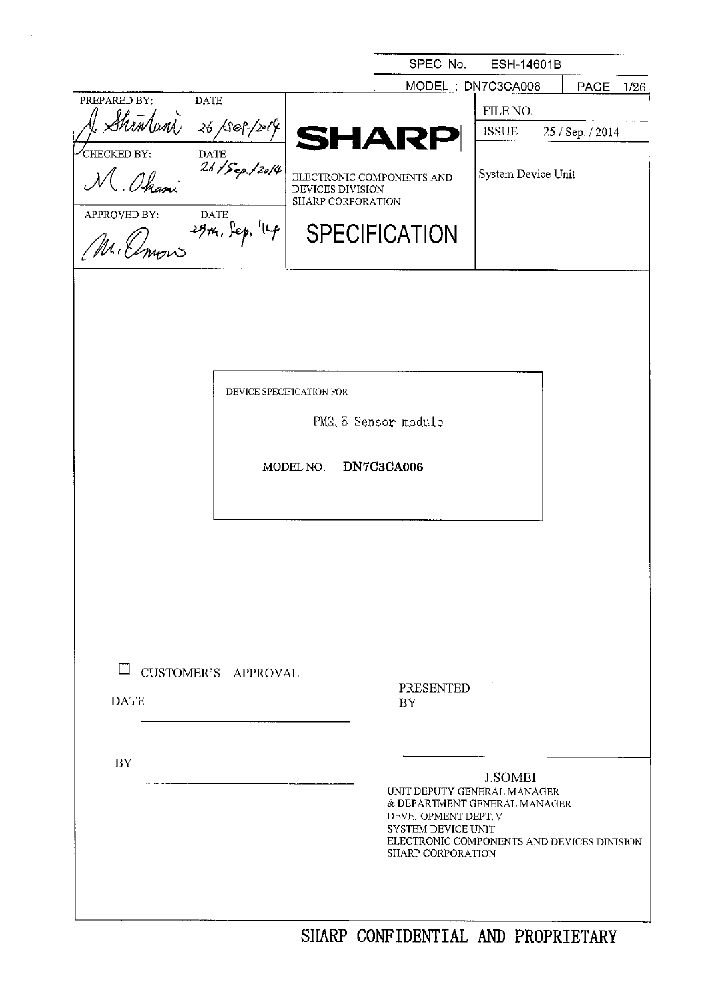|                                  |                                       | SPEC No.                                                               | ESH-14601B         |                  |
|----------------------------------|---------------------------------------|------------------------------------------------------------------------|--------------------|------------------|
|                                  |                                       | MODEL: DN7C3CA006                                                      |                    | PAGE<br>1/26     |
| PREPARED BY:<br><b>DATE</b>      |                                       |                                                                        | FILE NO.           |                  |
|                                  |                                       | <b>SHARP</b>                                                           | <b>ISSUE</b>       | 25 / Sep. / 2014 |
| CHECKED BY:                      |                                       |                                                                        |                    |                  |
| Shintoni 26/sep/2014<br>M. Ohami | ELECTRONIC COMPONENTS AND             |                                                                        | System Device Unit |                  |
|                                  | DEVICES DIVISION<br>SHARP CORPORATION |                                                                        |                    |                  |
| APPROVED BY:                     |                                       |                                                                        |                    |                  |
| Elmons 29th, Sep. 14             |                                       | <b>SPECIFICATION</b>                                                   |                    |                  |
|                                  |                                       |                                                                        |                    |                  |
|                                  |                                       |                                                                        |                    |                  |
|                                  |                                       |                                                                        |                    |                  |
|                                  |                                       |                                                                        |                    |                  |
|                                  |                                       |                                                                        |                    |                  |
|                                  |                                       |                                                                        |                    |                  |
| DEVICE SPECIFICATION FOR         |                                       |                                                                        |                    |                  |
|                                  |                                       | PM2.5 Sensor module                                                    |                    |                  |
|                                  |                                       |                                                                        |                    |                  |
|                                  | MODEL NO.                             | DN7C3CA006                                                             |                    |                  |
|                                  |                                       |                                                                        |                    |                  |
|                                  |                                       |                                                                        |                    |                  |
|                                  |                                       |                                                                        |                    |                  |
|                                  |                                       |                                                                        |                    |                  |
|                                  |                                       |                                                                        |                    |                  |
|                                  |                                       |                                                                        |                    |                  |
|                                  |                                       |                                                                        |                    |                  |
|                                  |                                       |                                                                        |                    |                  |
| CUSTOMER'S APPROVAL              |                                       |                                                                        |                    |                  |
| <b>DATE</b>                      |                                       | PRESENTED<br><b>BY</b>                                                 |                    |                  |
|                                  |                                       |                                                                        |                    |                  |
|                                  |                                       |                                                                        |                    |                  |
| <b>BY</b>                        |                                       |                                                                        |                    |                  |
|                                  |                                       | UNIT DEPUTY GENERAL MANAGER                                            | <b>J.SOMEI</b>     |                  |
|                                  |                                       | & DEPARTMENT GENERAL MANAGER                                           |                    |                  |
|                                  |                                       | DEVELOPMENT DEPT. V<br><b>SYSTEM DEVICE UNIT</b>                       |                    |                  |
|                                  |                                       | ELECTRONIC COMPONENTS AND DEVICES DINISION<br><b>SHARP CORPORATION</b> |                    |                  |
|                                  |                                       |                                                                        |                    |                  |
|                                  |                                       |                                                                        |                    |                  |
|                                  |                                       |                                                                        |                    |                  |
|                                  |                                       | SHARP CONFIDENTIAL AND PROPRIETARY                                     |                    |                  |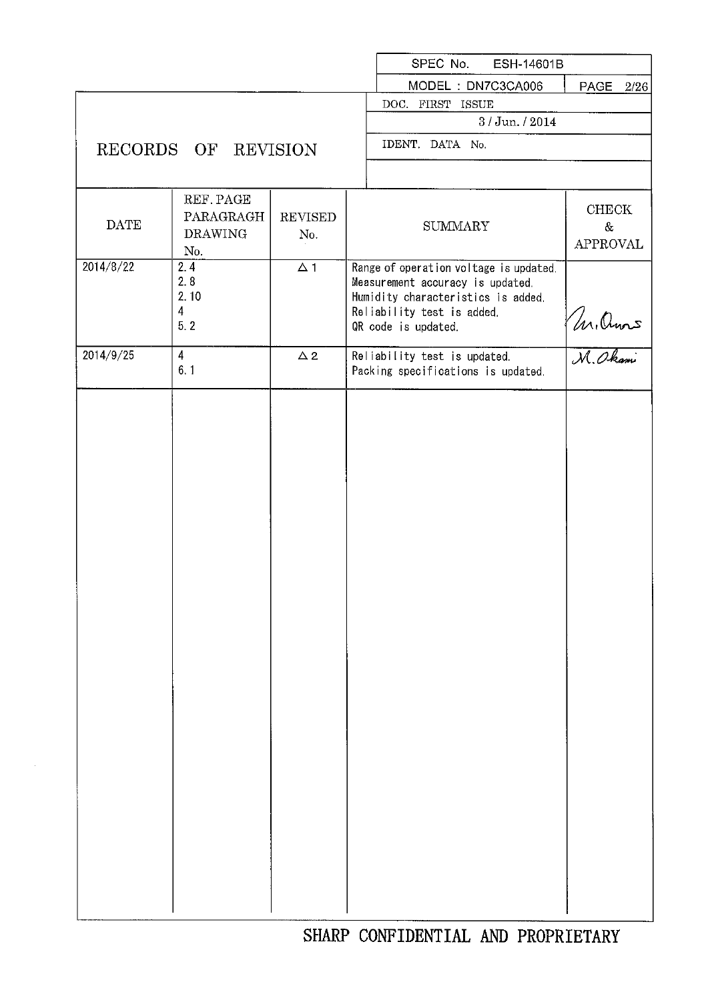|             |                         |                | SPEC No.<br>ESH-14601B                                                     |                       |
|-------------|-------------------------|----------------|----------------------------------------------------------------------------|-----------------------|
|             |                         |                | MODEL: DN7C3CA006                                                          | PAGE<br>2/26          |
|             |                         |                | DOC. FIRST ISSUE                                                           |                       |
|             |                         |                | $3/$ Jun. $/$ 2014                                                         |                       |
|             | RECORDS OF REVISION     |                | IDENT. DATA No.                                                            |                       |
|             |                         |                |                                                                            |                       |
|             | REF. PAGE               |                |                                                                            | CHECK                 |
| <b>DATE</b> | PARAGRAGH               | <b>REVISED</b> | <b>SUMMARY</b>                                                             | $\&$                  |
|             | <b>DRAWING</b>          | No.            |                                                                            | <b>APPROVAL</b>       |
|             | No.                     |                |                                                                            |                       |
| 2014/8/22   | 2.4<br>2.8              | $\Delta$ 1     | Range of operation voltage is updated.<br>Measurement accuracy is updated. |                       |
|             | 2.10                    |                | Humidity characteristics is added.                                         |                       |
|             | $\overline{\mathbf{4}}$ |                | Reliability test is added.                                                 |                       |
|             | 5.2                     |                | OR code is updated.                                                        |                       |
| 2014/9/25   | $\overline{4}$          | $\Delta$ 2     | Reliability test is updated.                                               | M. Ornors<br>M. Okami |
|             | 6.1                     |                | Packing specifications is updated.                                         |                       |
|             |                         |                |                                                                            |                       |
|             |                         |                |                                                                            |                       |
|             |                         |                |                                                                            |                       |
|             |                         |                |                                                                            |                       |
|             |                         |                |                                                                            |                       |
|             |                         |                |                                                                            |                       |
|             |                         |                |                                                                            |                       |
|             |                         |                |                                                                            |                       |
|             |                         |                |                                                                            |                       |
|             |                         |                |                                                                            |                       |
|             |                         |                |                                                                            |                       |
|             |                         |                |                                                                            |                       |
|             |                         |                |                                                                            |                       |
|             |                         |                |                                                                            |                       |
|             |                         |                |                                                                            |                       |
|             |                         |                |                                                                            |                       |
|             |                         |                |                                                                            |                       |
|             |                         |                |                                                                            |                       |
|             |                         |                |                                                                            |                       |
|             |                         |                |                                                                            |                       |
|             |                         |                |                                                                            |                       |
|             |                         |                |                                                                            |                       |
|             |                         |                |                                                                            |                       |
|             |                         |                |                                                                            |                       |
|             |                         |                |                                                                            |                       |
|             |                         |                |                                                                            |                       |
|             |                         |                |                                                                            |                       |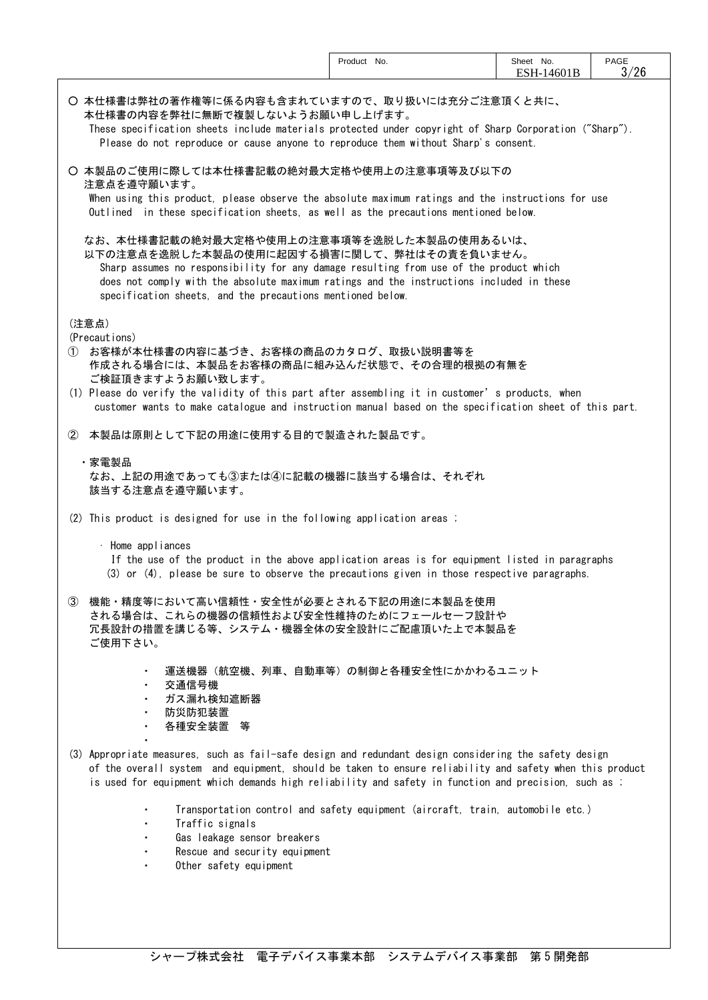|                                                                                                                                                                                                                                                                                                                                              | Product No.                                                                    | Sheet No.<br>ESH-14601B | PAGE<br>3/26 |
|----------------------------------------------------------------------------------------------------------------------------------------------------------------------------------------------------------------------------------------------------------------------------------------------------------------------------------------------|--------------------------------------------------------------------------------|-------------------------|--------------|
| ○ 本仕様書は弊社の著作権等に係る内容も含まれていますので、取り扱いには充分ご注意頂くと共に、<br>本仕様書の内容を弊社に無断で複製しないようお願い申し上げます。<br>These specification sheets include materials protected under copyright of Sharp Corporation ("Sharp").<br>Please do not reproduce or cause anyone to reproduce them without Sharp's consent.                                                           |                                                                                |                         |              |
| 〇 本製品のご使用に際しては本仕様書記載の絶対最大定格や使用上の注意事項等及び以下の<br>注意点を遵守願います。<br>When using this product, please observe the absolute maximum ratings and the instructions for use<br>Outlined in these specification sheets, as well as the precautions mentioned below.                                                                                        |                                                                                |                         |              |
| なお、本仕様書記載の絶対最大定格や使用上の注意事項等を逸脱した本製品の使用あるいは、<br>以下の注意点を逸脱した本製品の使用に起因する損害に関して、弊社はその責を負いません。<br>Sharp assumes no responsibility for any damage resulting from use of the product which<br>does not comply with the absolute maximum ratings and the instructions included in these<br>specification sheets, and the precautions mentioned below. |                                                                                |                         |              |
| (注意点)                                                                                                                                                                                                                                                                                                                                        |                                                                                |                         |              |
| (Precautions)<br>お客様が本仕様書の内容に基づき、お客様の商品のカタログ、取扱い説明書等を<br>(1)<br>作成される場合には、本製品をお客様の商品に組み込んだ状態で、その合理的根拠の有無を<br>ご検証頂きますようお願い致します。                                                                                                                                                                                                               |                                                                                |                         |              |
| (1) Please do verify the validity of this part after assembling it in customer's products, when<br>customer wants to make catalogue and instruction manual based on the specification sheet of this part.                                                                                                                                    |                                                                                |                         |              |
| ② 本製品は原則として下記の用途に使用する目的で製造された製品です。                                                                                                                                                                                                                                                                                                           |                                                                                |                         |              |
| ・家電製品<br>なお、上記の用途であっても③または④に記載の機器に該当する場合は、それぞれ<br>該当する注意点を遵守願います。                                                                                                                                                                                                                                                                            |                                                                                |                         |              |
| (2) This product is designed for use in the following application areas ;                                                                                                                                                                                                                                                                    |                                                                                |                         |              |
| · Home appliances<br>If the use of the product in the above application areas is for equipment listed in paragraphs<br>(3) or (4), please be sure to observe the precautions given in those respective paragraphs.                                                                                                                           |                                                                                |                         |              |
| 機能・精度等において高い信頼性・安全性が必要とされる下記の用途に本製品を使用<br>(3)<br>される場合は、これらの機器の信頼性および安全性維持のためにフェールセーフ設計や<br>冗長設計の措置を講じる等、システム・機器全体の安全設計にご配慮頂いた上で本製品を<br>ご使用下さい。                                                                                                                                                                                              |                                                                                |                         |              |
| 交通信号機<br>٠<br>ガス漏れ検知遮断器<br>防災防犯装置                                                                                                                                                                                                                                                                                                            | 運送機器(航空機、列車、自動車等)の制御と各種安全性にかかわるユニット                                            |                         |              |
| 各種安全装置 等<br>(3) Appropriate measures, such as fail-safe design and redundant design considering the safety design<br>of the overall system and equipment, should be taken to ensure reliability and safety when this product<br>is used for equipment which demands high reliability and safety in function and precision, such as ;         |                                                                                |                         |              |
| Traffic signals<br>Gas leakage sensor breakers<br>Rescue and security equipment<br>Other safety equipment<br>$\blacksquare$                                                                                                                                                                                                                  | Transportation control and safety equipment (aircraft, train, automobile etc.) |                         |              |
|                                                                                                                                                                                                                                                                                                                                              |                                                                                |                         |              |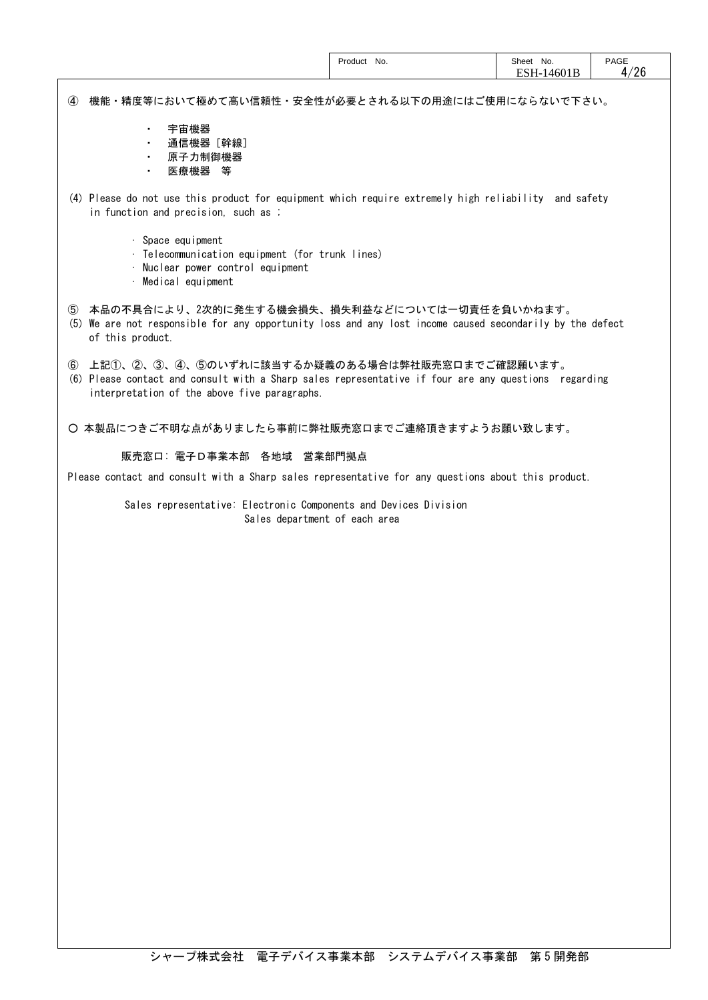|                                                                                                                                                                                                              | Product No. | Sheet No.<br>ESH-14601B | <b>PAGE</b><br>4/26 |
|--------------------------------------------------------------------------------------------------------------------------------------------------------------------------------------------------------------|-------------|-------------------------|---------------------|
| 機能・精度等において極めて高い信頼性・安全性が必要とされる以下の用途にはご使用にならないで下さい。<br>$\bf{a}$                                                                                                                                                |             |                         |                     |
| 宇宙機器<br>$\blacksquare$<br>通信機器[幹線]<br>٠<br>原子力制御機器<br>医療機器 等                                                                                                                                                 |             |                         |                     |
| (4) Please do not use this product for equipment which require extremely high reliability and safety<br>in function and precision, such as ;                                                                 |             |                         |                     |
| · Space equipment<br>· Telecommunication equipment (for trunk lines)<br>· Nuclear power control equipment<br>· Medical equipment                                                                             |             |                         |                     |
| 5 本品の不具合により、2次的に発生する機会損失、損失利益などについては一切責任を負いかねます。<br>(5) We are not responsible for any opportunity loss and any lost income caused secondarily by the defect<br>of this product.                             |             |                         |                     |
| 上記①、②、③、④、⑤のいずれに該当するか疑義のある場合は弊社販売窓口までご確認願います。<br>(6)<br>(6) Please contact and consult with a Sharp sales representative if four are any questions regarding<br>interpretation of the above five paragraphs. |             |                         |                     |
| 〇 本製品につきご不明な点がありましたら事前に弊社販売窓口までご連絡頂きますようお願い致します。                                                                                                                                                             |             |                         |                     |
| 販売窓口: 電子D事業本部 各地域 営業部門拠点                                                                                                                                                                                     |             |                         |                     |
| Please contact and consult with a Sharp sales representative for any questions about this product.                                                                                                           |             |                         |                     |
| Sales representative: Electronic Components and Devices Division<br>Sales department of each area                                                                                                            |             |                         |                     |
|                                                                                                                                                                                                              |             |                         |                     |
|                                                                                                                                                                                                              |             |                         |                     |
|                                                                                                                                                                                                              |             |                         |                     |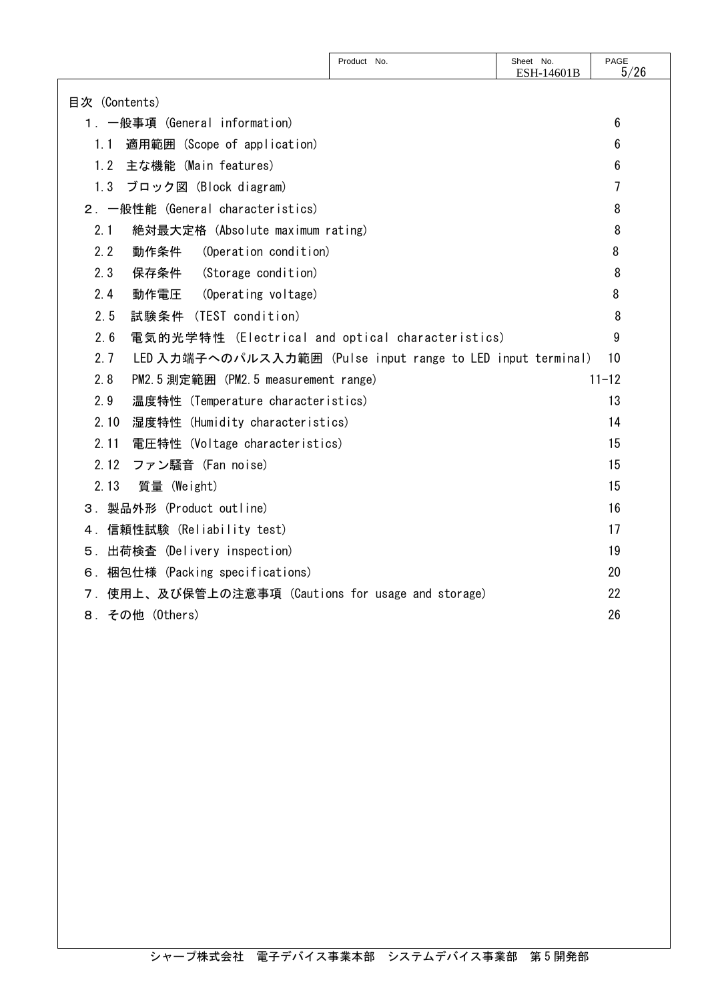|                                                                    | Product No. | Sheet No.<br>ESH-14601B | PAGE<br>5/26 |
|--------------------------------------------------------------------|-------------|-------------------------|--------------|
| 目次 (Contents)                                                      |             |                         |              |
| 1. 一般事項 (General information)                                      |             |                         | 6            |
| 適用範囲 (Scope of application)<br>1.1                                 |             |                         | 6            |
| 主な機能 (Main features)<br>1.2                                        |             |                         | 6            |
| ブロック図 (Block diagram)<br>1.3                                       |             |                         | 7            |
| 2. 一般性能 (General characteristics)                                  |             |                         | 8            |
| 2.1<br>絶対最大定格 (Absolute maximum rating)                            |             |                         | 8            |
| 2.2<br>(Operation condition)<br>動作条件                               |             |                         | 8            |
| 2.3<br>(Storage condition)<br>保存条件                                 |             |                         | 8            |
| (Operating voltage)<br>2.4<br>動作電圧                                 |             |                         | 8            |
| 試験条件 (TEST condition)<br>2.5                                       |             |                         | 8            |
| 2.6<br>電気的光学特性 (Electrical and optical characteristics)            |             |                         | 9            |
| LED 入力端子へのパルス入力範囲 (Pulse input range to LED input terminal)<br>2.7 |             |                         | 10           |
| PM2.5 測定範囲 (PM2.5 measurement range)<br>2.8                        |             |                         | $11 - 12$    |
| 2.9<br>温度特性 (Temperature characteristics)                          |             |                         | 13           |
| 2.10<br>湿度特性 (Humidity characteristics)                            |             |                         | 14           |
| 2.11<br>電圧特性 (Voltage characteristics)                             |             |                         | 15           |
| ファン騒音 (Fan noise)<br>2.12                                          |             |                         | 15           |
| 2.13<br>質量 (Weight)                                                |             |                         | 15           |
| 3. 製品外形 (Product outline)                                          |             |                         | 16           |
| 4. 信頼性試験 (Reliability test)                                        |             |                         | 17           |
| 5. 出荷検査 (Delivery inspection)                                      |             |                         | 19           |
| 6. 梱包仕様 (Packing specifications)                                   |             |                         | 20           |
| 7. 使用上、及び保管上の注意事項 (Cautions for usage and storage)                 |             |                         | 22           |
| その他 (Others)<br>8.                                                 |             |                         | 26           |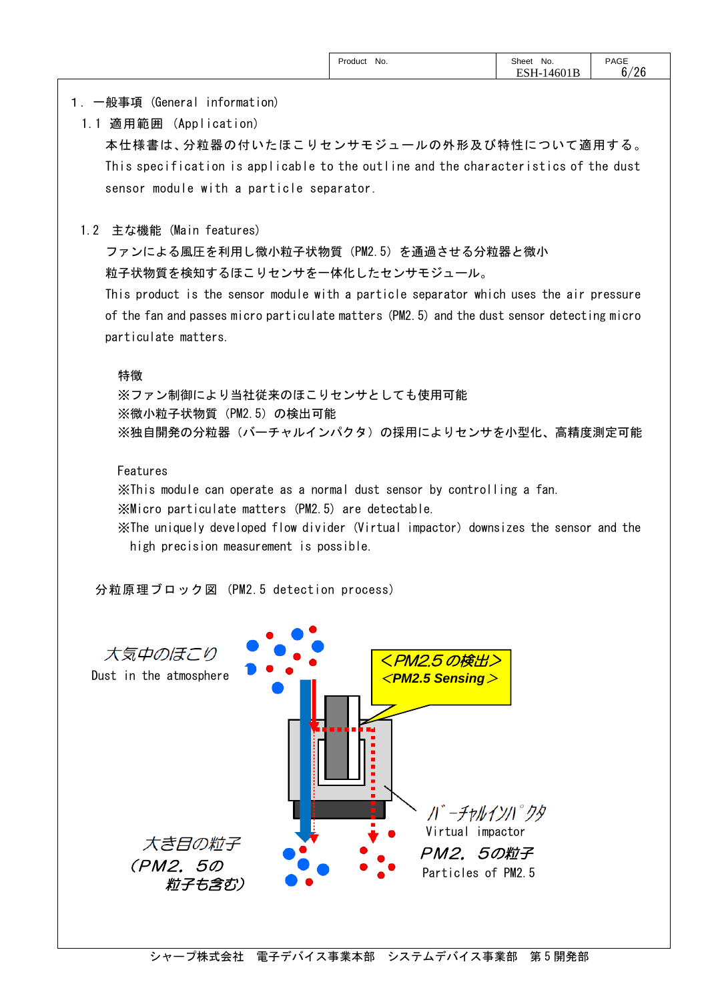# 1.一般事項 (General information)

1.1 適用範囲 (Application)

本仕様書は、分粒器の付いたほこりセンサモジュールの外形及び特性について適用する。 This specification is applicable to the outline and the characteristics of the dust sensor module with a particle separator.

1.2 主な機能 (Main features)

ファンによる風圧を利用し微小粒子状物質(PM2.5)を通過させる分粒器と微小 粒子状物質を検知するほこりセンサを一体化したセンサモジュール。

This product is the sensor module with a particle separator which uses the air pressure of the fan and passes micro particulate matters (PM2.5) and the dust sensor detecting micro particulate matters.

#### 特徴

※ファン制御により当社従来のほこりセンサとしても使用可能 ※微小粒子状物質(PM2.5)の検出可能 ※独自開発の分粒器(バーチャルインパクタ)の採用によりセンサを小型化、高精度測定可能

## Features

※This module can operate as a normal dust sensor by controlling a fan.

※Micro particulate matters (PM2.5) are detectable.

※The uniquely developed flow divider (Virtual impactor) downsizes the sensor and the high precision measurement is possible.

分粒原理ブロック図 (PM2.5 detection process)

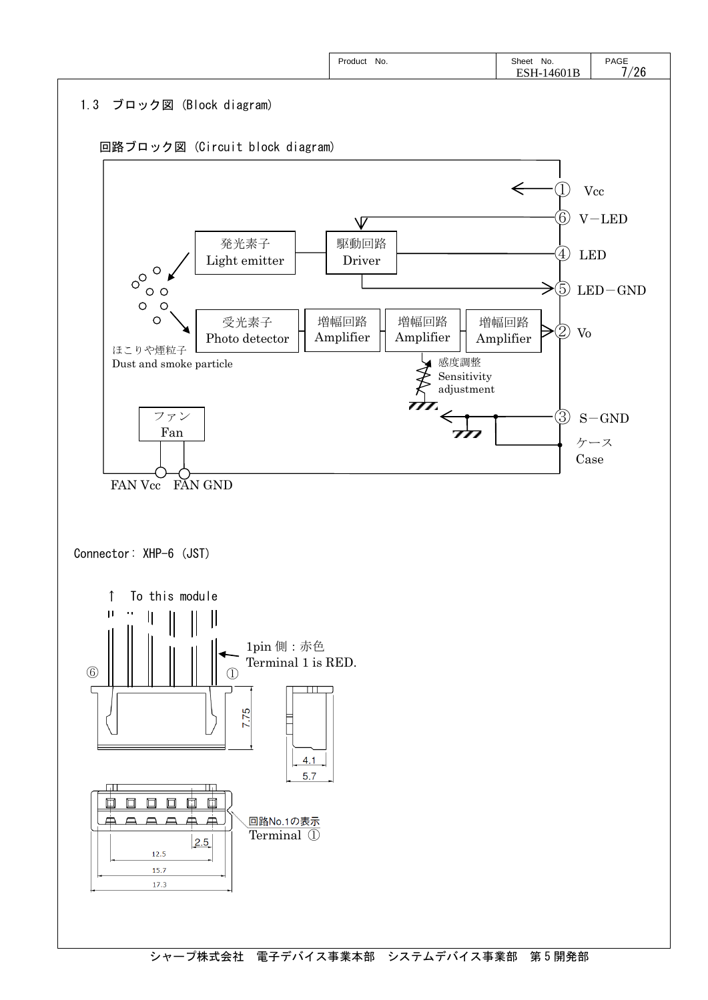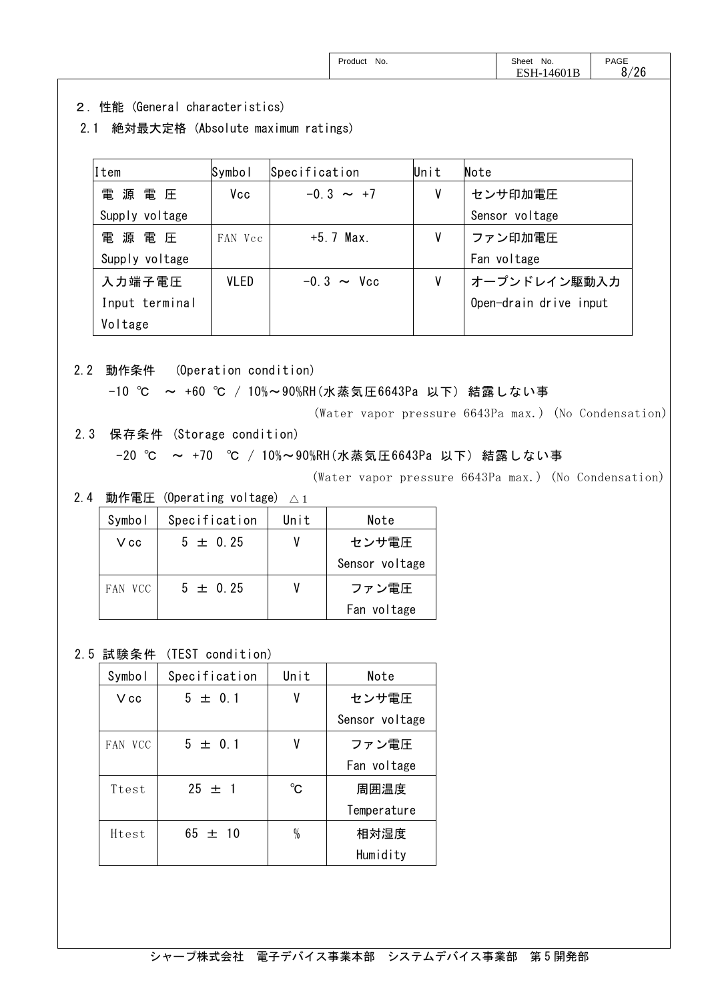| Product<br>No. | Sheet<br>No. | <b>PAGE</b> |
|----------------|--------------|-------------|
|                | ESH-14601B   | 8/26        |

- 2.性能 (General characteristics)
- 2.1 絶対最大定格 (Absolute maximum ratings)

| Item           | Symbol      | Specification   | Unit | Note                   |
|----------------|-------------|-----------------|------|------------------------|
| 電<br>源電圧       | Vcc         | $-0.3 \sim +7$  | ٧    | センサ印加電圧                |
| Supply voltage |             |                 |      | Sensor voltage         |
| 電源電圧           | FAN Vcc     | $+5.7$ Max.     | ٧    | ファン印加電圧                |
| Supply voltage |             |                 |      | Fan voltage            |
| 入力端子電圧         | <b>VLED</b> | $-0.3 \sim$ Vcc | V    | オープンドレイン駆動入力           |
| Input terminal |             |                 |      | Open-drain drive input |
| Voltage        |             |                 |      |                        |

2.2 動作条件 (Operation condition)

-10 ℃ ~ +60 ℃ / 10%~90%RH(水蒸気圧6643Pa 以下) 結露しない事

(Water vapor pressure 6643Pa max.) (No Condensation)

2.3 保存条件 (Storage condition)

-20 ℃ ~ +70 ℃ / 10%~90%RH(水蒸気圧6643Pa 以下) 結露しない事

(Water vapor pressure 6643Pa max.) (No Condensation)

2.4 動作電圧 (Operating voltage)  $\vartriangle_1$ 

| Symbol  | Specification | Unit | Note           |
|---------|---------------|------|----------------|
| V cc    | $5 \pm 0.25$  |      | センサ電圧          |
|         |               |      | Sensor voltage |
| FAN VCC | $5 \pm 0.25$  |      | ファン電圧          |
|         |               |      | Fan voltage    |

2.5 試験条件 (TEST condition)

| Symbol  | Specification | Unit        | Note           |
|---------|---------------|-------------|----------------|
| $V$ cc  | $5 \pm 0.1$   | ٧           | センサ電圧          |
|         |               |             | Sensor voltage |
| FAN VCC | $5 \pm 0.1$   | V           | ファン電圧          |
|         |               |             | Fan voltage    |
| Ttest   | $25 \pm 1$    | $^{\circ}C$ | 周囲温度           |
|         |               |             | Temperature    |
| Htest   | $65 \pm 10$   | $\%$        | 相対湿度           |
|         |               |             | Humidity       |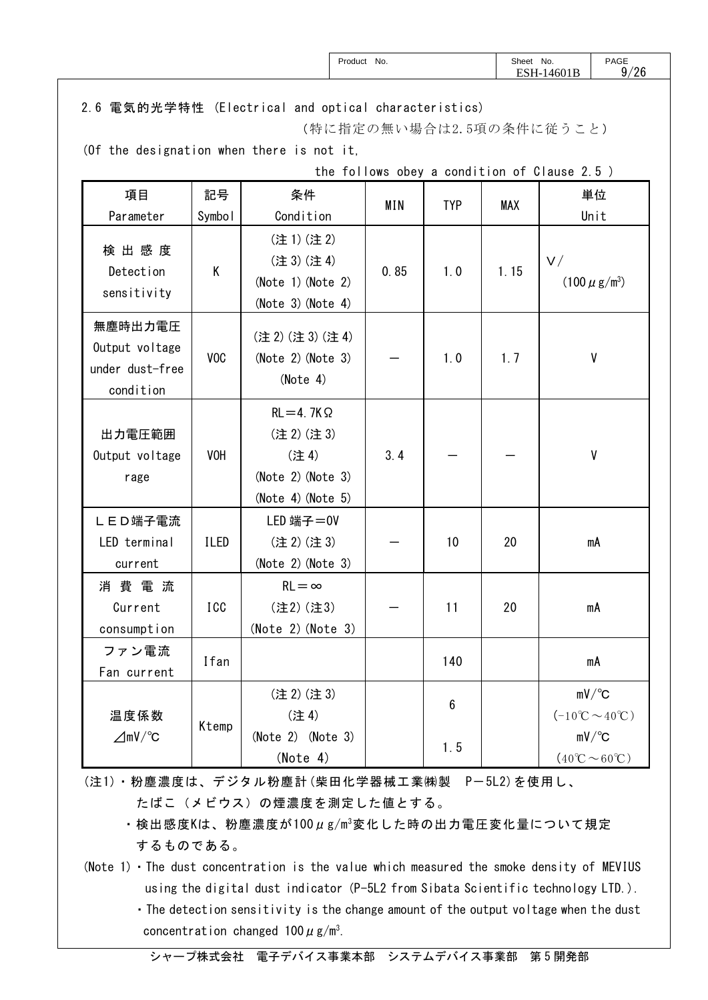| Product No.                                               |                  |                                                                                  |                                             |                 | Sheet No. | ESH-14601B                                      | PAGE<br>9/26                                                  |
|-----------------------------------------------------------|------------------|----------------------------------------------------------------------------------|---------------------------------------------|-----------------|-----------|-------------------------------------------------|---------------------------------------------------------------|
|                                                           |                  | 2.6 電気的光学特性 (Electrical and optical characteristics)<br>(特に指定の無い場合は2.5項の条件に従うこと) |                                             |                 |           |                                                 |                                                               |
|                                                           |                  | (Of the designation when there is not it,                                        |                                             |                 |           |                                                 |                                                               |
|                                                           |                  |                                                                                  | the follows obey a condition of Clause 2.5) |                 |           |                                                 |                                                               |
| 項目                                                        | 記号               | 条件                                                                               | MIN                                         | <b>TYP</b>      | MAX       |                                                 | 単位                                                            |
| Parameter                                                 | Symbol           | Condition                                                                        |                                             |                 |           |                                                 | Unit                                                          |
| 検出感度<br>Detection<br>sensitivity                          | K                | (注1)(注2)<br>(注 3) (注 4)<br>$(Note 1)$ (Note 2)<br>(Note 3) (Note 4)              | 0.85                                        | 1.0             | 1.15      | V/                                              | $(100 \mu g/m^3)$                                             |
| 無塵時出力電圧<br>Output voltage<br>under dust-free<br>condition | V <sub>O</sub> C | (注2) (注3) (注4)<br>(Note 2) (Note 3)<br>(Note 4)                                  |                                             | 1.0             | 1.7       |                                                 | V                                                             |
| 出力電圧範囲<br>Output voltage<br>rage                          | <b>VOH</b>       | $RL = 4.7K\Omega$<br>(注2)(注3)<br>(注4)<br>(Note 2) (Note 3)<br>(Note 4) (Note 5)  | 3.4                                         |                 |           |                                                 | V                                                             |
| LED端子電流<br>LED terminal<br>current                        | <b>ILED</b>      | LED 端子=0V<br>(注2)(注3)<br>(Note 2) (Note 3)                                       |                                             | 10              | 20        |                                                 | mA                                                            |
| 消費電流<br>Current<br>consumption                            | ICC              | $RL = \infty$<br>(注2)(注3)<br>(Note 2) (Note 3)                                   |                                             | 11              | 20        |                                                 | mA                                                            |
| ファン電流<br>Fan current                                      | Ifan             |                                                                                  |                                             | 140             |           |                                                 | mA                                                            |
| 温度係数                                                      |                  | (注2)(注3)<br>(注4)                                                                 |                                             | $6\phantom{.}6$ |           | $(-10^{\circ}\text{C} \sim 40^{\circ}\text{C})$ | $mV$ <sup>o</sup> C                                           |
| $\angle M$ mV/°C                                          | Ktemp            | $(Note 2)$ (Note 3)<br>(Note 4)                                                  |                                             | 1.5             |           |                                                 | $mV$ $\sim$<br>$(40^{\circ}\text{C} \sim 60^{\circ}\text{C})$ |

 (注1)・粉塵濃度は、デジタル粉塵計(柴田化学器械工業㈱製 P-5L2)を使用し、 たばこ(メビウス)の煙濃度を測定した値とする。

・検出感度Kは、粉塵濃度が100μg/m3変化した時の出力電圧変化量について規定 するものである。

(Note 1)  $\cdot$  The dust concentration is the value which measured the smoke density of MEVIUS using the digital dust indicator (P-5L2 from Sibata Scientific technology LTD.).

・The detection sensitivity is the change amount of the output voltage when the dust concentration changed  $100 \mu$  g/m<sup>3</sup>.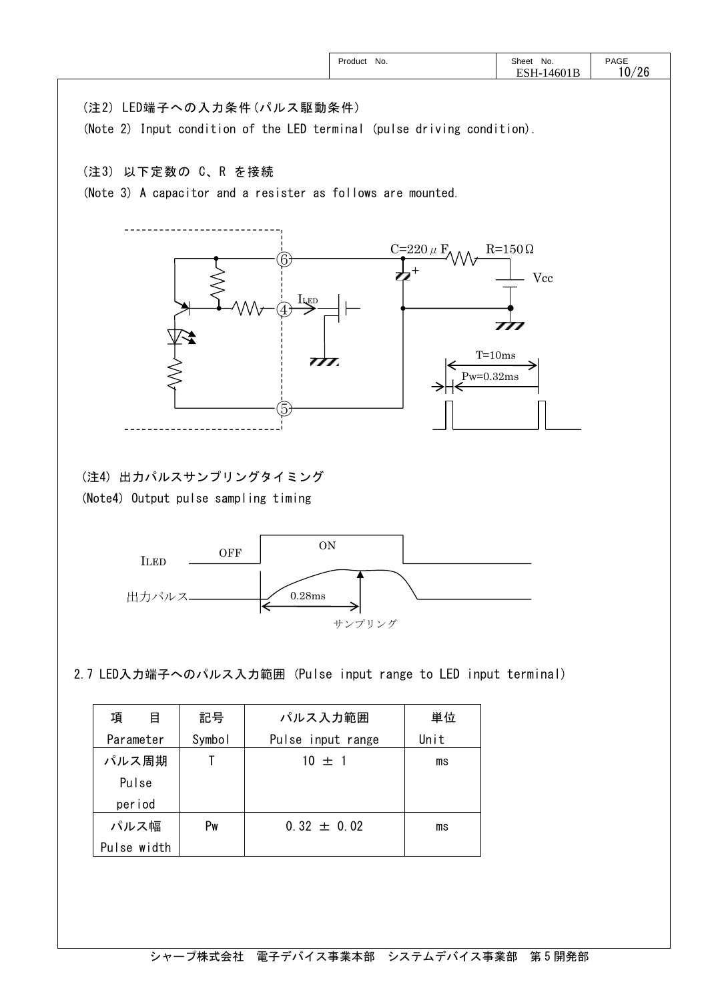|                                                                                                       | Product No.   | Sheet No.<br>ESH-14601B | PAGE<br>10/26 |
|-------------------------------------------------------------------------------------------------------|---------------|-------------------------|---------------|
| (注2) LED端子への入力条件 (パルス駆動条件)<br>(Note 2) Input condition of the LED terminal (pulse driving condition). |               |                         |               |
| (注3) 以下定数の C、R を接続<br>(Note 3) A capacitor and a resister as follows are mounted.                     |               |                         |               |
|                                                                                                       | C=220 $\mu$ F | $R=150 \Omega$<br>Vcc   |               |
| ILED<br>777.                                                                                          |               | 777<br>$T = 10ms$       |               |
| Ь.                                                                                                    |               | $Pw=0.32ms$             |               |
| (注4) 出力パルスサンプリングタイミング<br>(Note4) Output pulse sampling timing                                         |               |                         |               |
| $\mbox{ON}$<br><b>OFF</b><br><b>ILED</b>                                                              |               |                         |               |
| $0.28\mathrm{ms}$<br>出力パルス<br>∣←                                                                      | サンプリング        |                         |               |
| 2.7 LED入力端子へのパルス入力範囲 (Pulse input range to LED input terminal)                                        |               |                         |               |

| 項<br>目      | 記号     | パルス入力範囲           | 単位   |
|-------------|--------|-------------------|------|
| Parameter   | Symbol | Pulse input range | Unit |
| パルス周期       |        | $10 \pm 1$        | ms   |
| Pulse       |        |                   |      |
| period      |        |                   |      |
| パルス幅        | Pw     | $0.32 \pm 0.02$   | ms   |
| Pulse width |        |                   |      |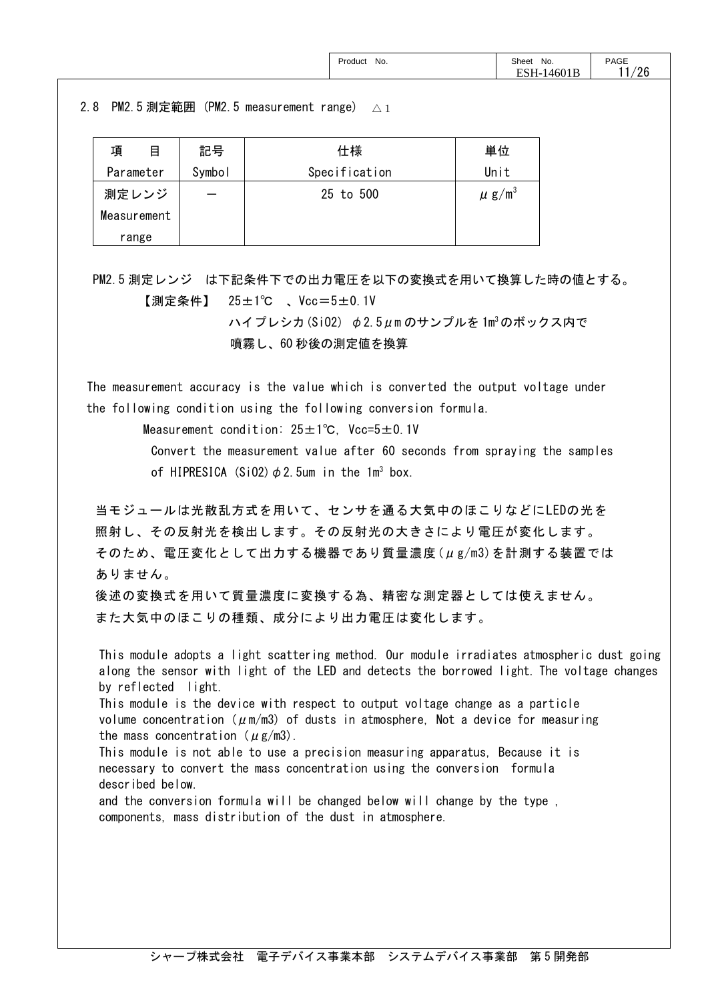| Product<br>No.<br>.<br>_____ | Sheet<br>No.<br>. | PAGE      |
|------------------------------|-------------------|-----------|
|                              | 4601B<br>ÑН.      | 106<br>∠∪ |

# 2.8 PM2.5測定範囲(PM2.5 measurement range)  $\vartriangle_1$

| 項<br>目      | 記号     | 仕様            | 単位                     |
|-------------|--------|---------------|------------------------|
| Parameter   | Symbol | Specification | Unit                   |
| 測定レンジ       |        | 25 to 500     | $\mu$ g/m <sup>3</sup> |
| Measurement |        |               |                        |
| range       |        |               |                        |

PM2.5 測定レンジ は下記条件下での出力電圧を以下の変換式を用いて換算した時の値とする。 【測定条件】 25±1℃ 、Vcc=5±0.1V

> ハイプレシカ(SiO2) φ2.5μm のサンプルを 1m<sup>3</sup>のボックス内で 噴霧し、60 秒後の測定値を換算

The measurement accuracy is the value which is converted the output voltage under the following condition using the following conversion formula.

Measurement condition: 25±1℃, Vcc=5±0.1V

Convert the measurement value after 60 seconds from spraying the samples of HIPRESICA (SiO2)  $\phi$  2.5um in the 1m<sup>3</sup> box.

当モジュールは光散乱方式を用いて、センサを通る大気中のほこりなどにLEDの光を 照射し、その反射光を検出します。その反射光の大きさにより電圧が変化します。 そのため、電圧変化として出力する機器であり質量濃度(μg/m3)を計測する装置では ありません。

後述の変換式を用いて質量濃度に変換する為、精密な測定器としては使えません。 また大気中のほこりの種類、成分により出力電圧は変化します。

This module adopts a light scattering method. Our module irradiates atmospheric dust going along the sensor with light of the LED and detects the borrowed light. The voltage changes by reflected light.

 This module is the device with respect to output voltage change as a particle volume concentration ( $\mu$ m/m3) of dusts in atmosphere, Not a device for measuring the mass concentration ( $\mu$ g/m3).

This module is not able to use a precision measuring apparatus, Because it is necessary to convert the mass concentration using the conversion formula described below.

and the conversion formula will be changed below will change by the type , components, mass distribution of the dust in atmosphere.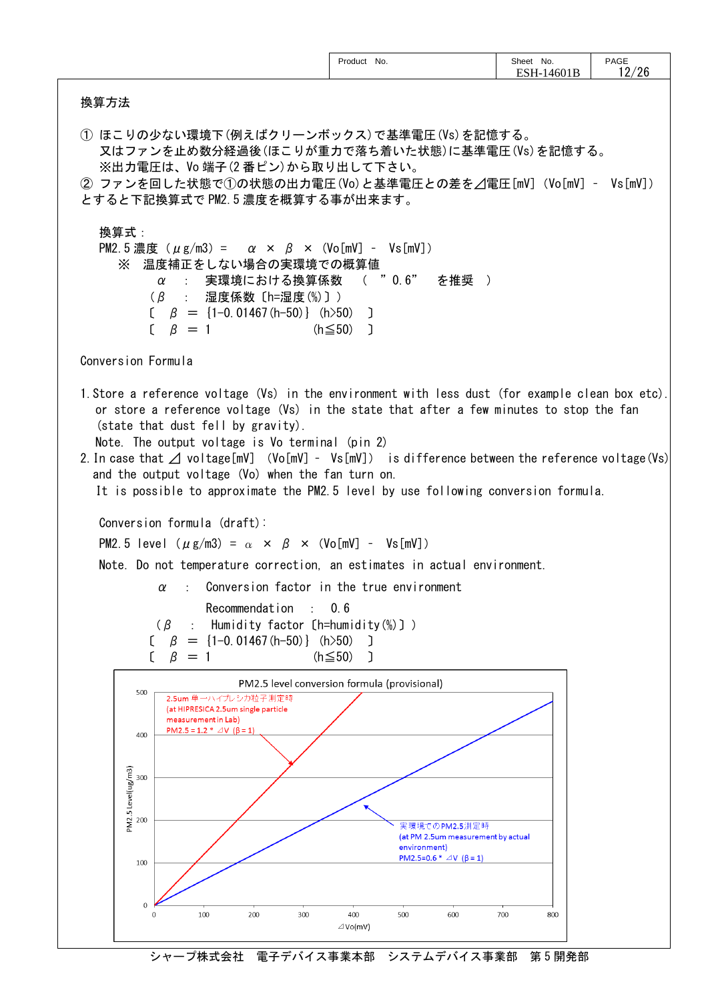| 換算方法                                 |                                                                                                                                                                                                                                                                                                                                                                                                                                                                                                                                                                                                                                                                                                                                                                                                                                                                                                           | Product No.                                  | Sheet No.<br>ESH-14601B | PAGE<br>12/26 |
|--------------------------------------|-----------------------------------------------------------------------------------------------------------------------------------------------------------------------------------------------------------------------------------------------------------------------------------------------------------------------------------------------------------------------------------------------------------------------------------------------------------------------------------------------------------------------------------------------------------------------------------------------------------------------------------------------------------------------------------------------------------------------------------------------------------------------------------------------------------------------------------------------------------------------------------------------------------|----------------------------------------------|-------------------------|---------------|
|                                      |                                                                                                                                                                                                                                                                                                                                                                                                                                                                                                                                                                                                                                                                                                                                                                                                                                                                                                           |                                              |                         |               |
|                                      | ① ほこりの少ない環境下(例えばクリーンボックス)で基準電圧(Vs)を記憶する。<br>又はファンを止め数分経過後(ほこりが重力で落ち着いた状態)に基準電圧(Vs)を記憶する。<br>※出力電圧は、Vo端子(2番ピン)から取り出して下さい。<br>② ファンを回した状態で①の状態の出力電圧(Vo)と基準電圧との差を⊿電圧[mV] (Vo[mV] - Vs[mV])<br>とすると下記換算式で PM2.5 濃度を概算する事が出来ます。                                                                                                                                                                                                                                                                                                                                                                                                                                                                                                                                                                                                                                                                                |                                              |                         |               |
| 換算式:<br>X                            | PM2.5濃度 ( $\mu$ g/m3) = $\alpha \times \beta \times$ (Vo[mV] - Vs[mV])<br>温度補正をしない場合の実環境での概算値<br>実環境における換算係数 ( "0.6"<br>$\sim 1000$<br>$\alpha$<br>$(\beta$ : 湿度係数 〔h=湿度(%)〕)<br>$\beta = \{1-0.01467(h-50)\}$ (h>50) ]<br>$\beta = 1$                                                                                                                                                                                                                                                                                                                                                                                                                                                                                                                                                                                                                                                                    | $(h \le 50)$ ]                               | を推奨 )                   |               |
| Conversion Formula                   |                                                                                                                                                                                                                                                                                                                                                                                                                                                                                                                                                                                                                                                                                                                                                                                                                                                                                                           |                                              |                         |               |
|                                      | 1. Store a reference voltage (Vs) in the environment with less dust (for example clean box etc).<br>or store a reference voltage (Vs) in the state that after a few minutes to stop the fan<br>(state that dust fell by gravity).<br>Note. The output voltage is Vo terminal (pin 2)<br>2. In case that $\angle$ voltage[mV] (Vo[mV] - Vs[mV]) is difference between the reference voltage(Vs)<br>and the output voltage (Vo) when the fan turn on.<br>It is possible to approximate the PM2.5 level by use following conversion formula.<br>Conversion formula (draft):<br>PM2.5 level $(\mu g/m3) = \alpha \times \beta \times (V_0[mV] - V_s[mV])$<br>Note. Do not temperature correction, an estimates in actual environment.<br>$\alpha$ : Conversion factor in the true environment<br>Recommendation : 0.6<br>$(\beta$<br>Humidity factor [h=humidity(%)])<br>$=$ {1-0.01467 (h-50)} (h>50) ]<br>β |                                              |                         |               |
|                                      | $\beta = 1$                                                                                                                                                                                                                                                                                                                                                                                                                                                                                                                                                                                                                                                                                                                                                                                                                                                                                               | $(h \le 50)$ ]                               |                         |               |
| 500<br>400                           | 2.5um 単一ハイプレシカ粒子測定時<br>(at HIPRESICA 2.5um single particle<br>measurement in Lab)<br>PM2.5 = 1.2 * $\triangle$ V ( $\beta$ = 1)                                                                                                                                                                                                                                                                                                                                                                                                                                                                                                                                                                                                                                                                                                                                                                           | PM2.5 level conversion formula (provisional) |                         |               |
| PM2.5 Level(ug/m3)<br>20<br>00<br>00 |                                                                                                                                                                                                                                                                                                                                                                                                                                                                                                                                                                                                                                                                                                                                                                                                                                                                                                           |                                              |                         |               |

シャープ株式会社 電子デバイス事業本部 システムデバイス事業部 第5開発部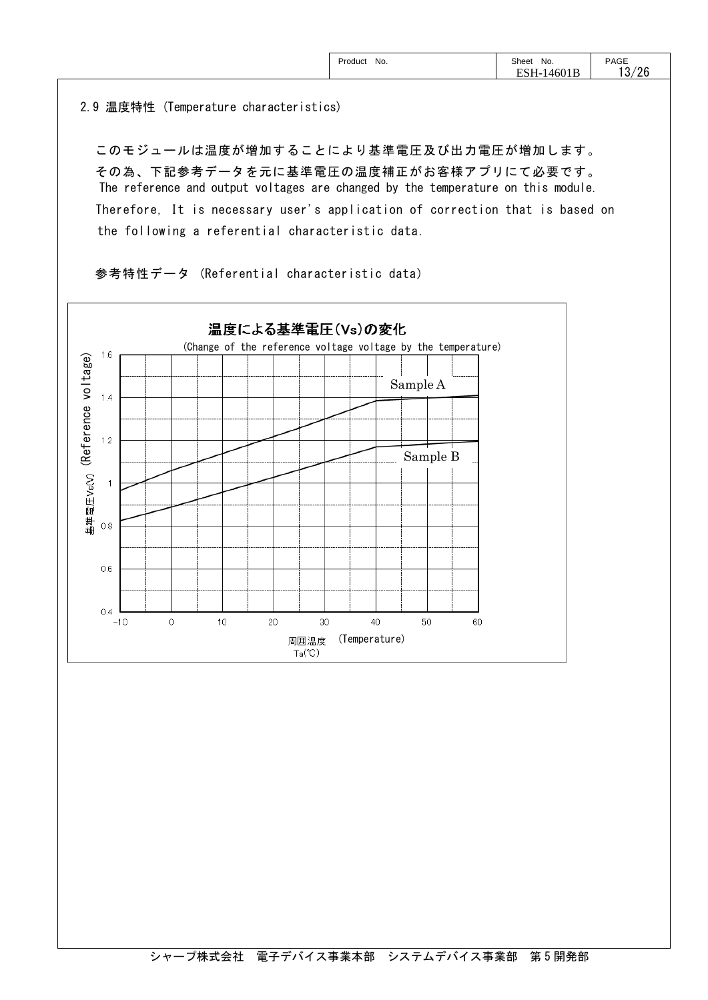| PAGE<br>Sheet<br>No.<br>Product<br>No.<br>.<br>.<br>ָ<br>EС<br>14601 <sub>b</sub><br>×H-<br>. ب<br>LO LP | /26 |
|----------------------------------------------------------------------------------------------------------|-----|
|----------------------------------------------------------------------------------------------------------|-----|

2.9 温度特性 (Temperature characteristics)

このモジュールは温度が増加することにより基準電圧及び出力電圧が増加します。 その為、下記参考データを元に基準電圧の温度補正がお客様アプリにて必要です。 The reference and output voltages are changed by the temperature on this module. Therefore, It is necessary user's application of correction that is based on the following a referential characteristic data.

参考特性データ (Referential characteristic data)

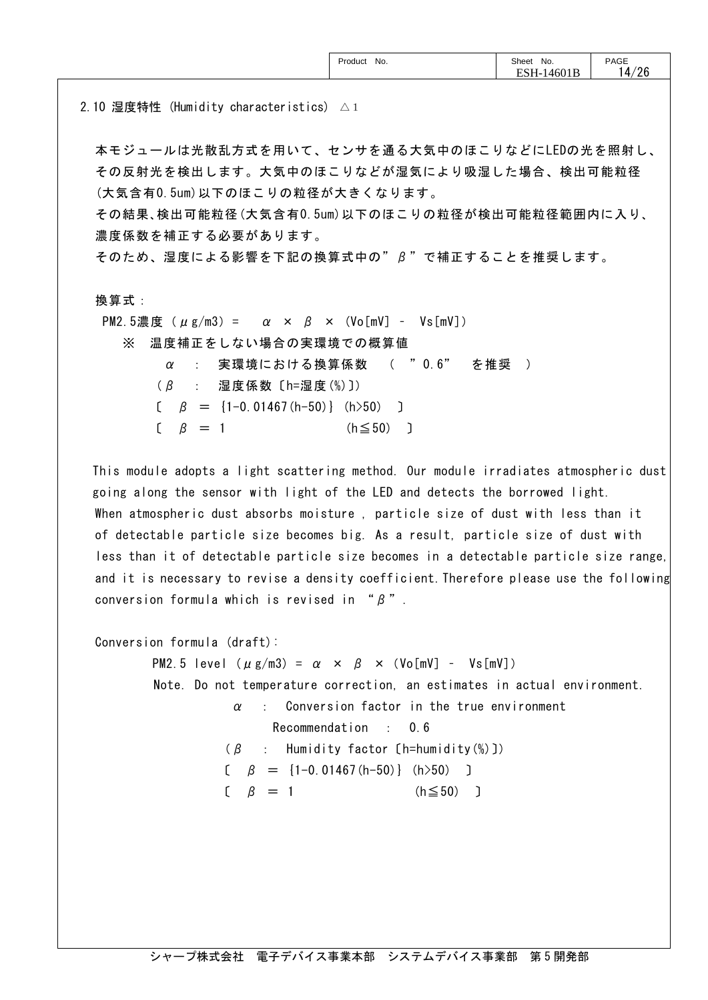2.10 湿度特性 (Humidity characteristics) △1

本モジュールは光散乱方式を用いて、センサを通る大気中のほこりなどにLEDの光を照射し、 その反射光を検出します。大気中のほこりなどが湿気により吸湿した場合、検出可能粒径 (大気含有0.5um)以下のほこりの粒径が大きくなります。

その結果、検出可能粒径(大気含有0.5um)以下のほこりの粒径が検出可能粒径範囲内に入り、 濃度係数を補正する必要があります。

そのため、湿度による影響を下記の換算式中の"β"で補正することを推奨します。

換算式:

PM2.5濃度 (μg/m3) =  $\alpha \times \beta \times$  (Vo[mV] - Vs[mV]) ※ 温度補正をしない場合の実環境での概算値  $\alpha$  : 実環境における換算係数 ( "0.6" を推奨 )  $(\beta$  : 湿度係数  $[$ h=湿度 $(\%)$   $])$  $\beta = \{1-0.01467(h-50)\}\$  (h>50) ]  $\beta = 1$  (h≤50) ]

This module adopts a light scattering method. Our module irradiates atmospheric dust going along the sensor with light of the LED and detects the borrowed light. When atmospheric dust absorbs moisture , particle size of dust with less than it of detectable particle size becomes big. As a result, particle size of dust with less than it of detectable particle size becomes in a detectable particle size range, and it is necessary to revise a density coefficient.Therefore please use the following conversion formula which is revised in " $\beta$ ".

Conversion formula (draft):

PM2.5 level  $(\mu g/m3) = \alpha \times \beta \times (V \circ [mV] - V \circ [mV])$  Note. Do not temperature correction, an estimates in actual environment.  $\alpha$  : Conversion factor in the true environment Recommendation : 0.6  $(\beta$  : Humidity factor [h=humidity(%)])  $\beta = \{1-0.01467(h-50)\}\$  (h>50) ]  $\beta = 1$  (h≤50)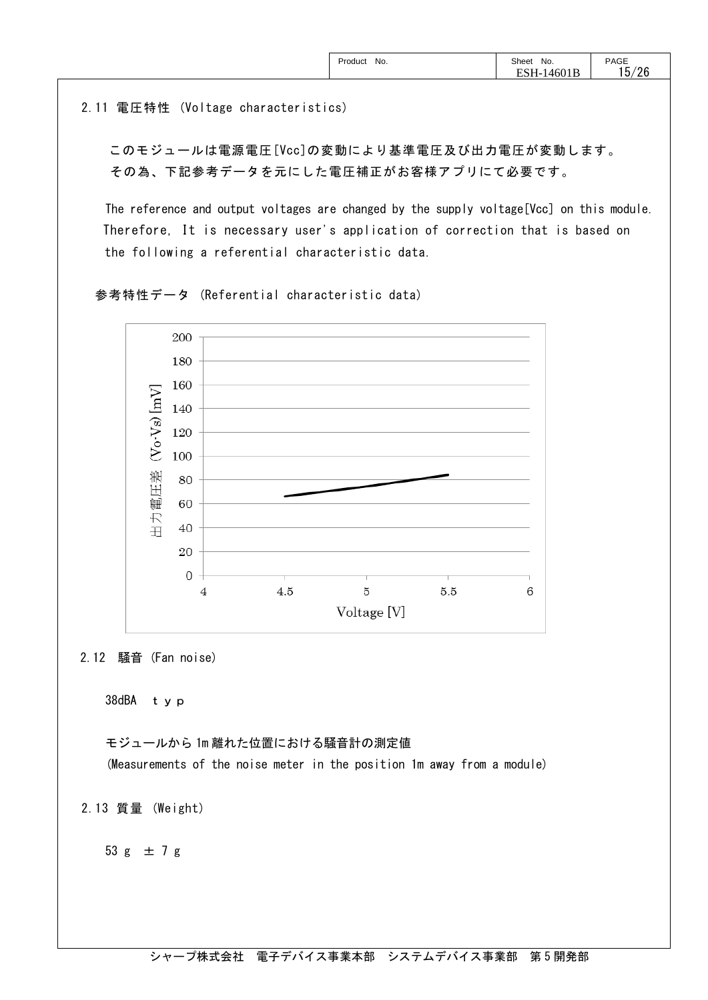2.11 電圧特性 (Voltage characteristics)

このモジュールは電源電圧[Vcc]の変動により基準電圧及び出力電圧が変動します。 その為、下記参考データを元にした電圧補正がお客様アプリにて必要です。

 The reference and output voltages are changed by the supply voltage[Vcc] on this module. Therefore, It is necessary user's application of correction that is based on the following a referential characteristic data.

参考特性データ (Referential characteristic data)



2.12 騒音 (Fan noise)

38dBA typ

モジュールから 1m 離れた位置における騒音計の測定値 (Measurements of the noise meter in the position 1m away from a module)

2.13 質量 (Weight)

53 g  $\pm$  7 g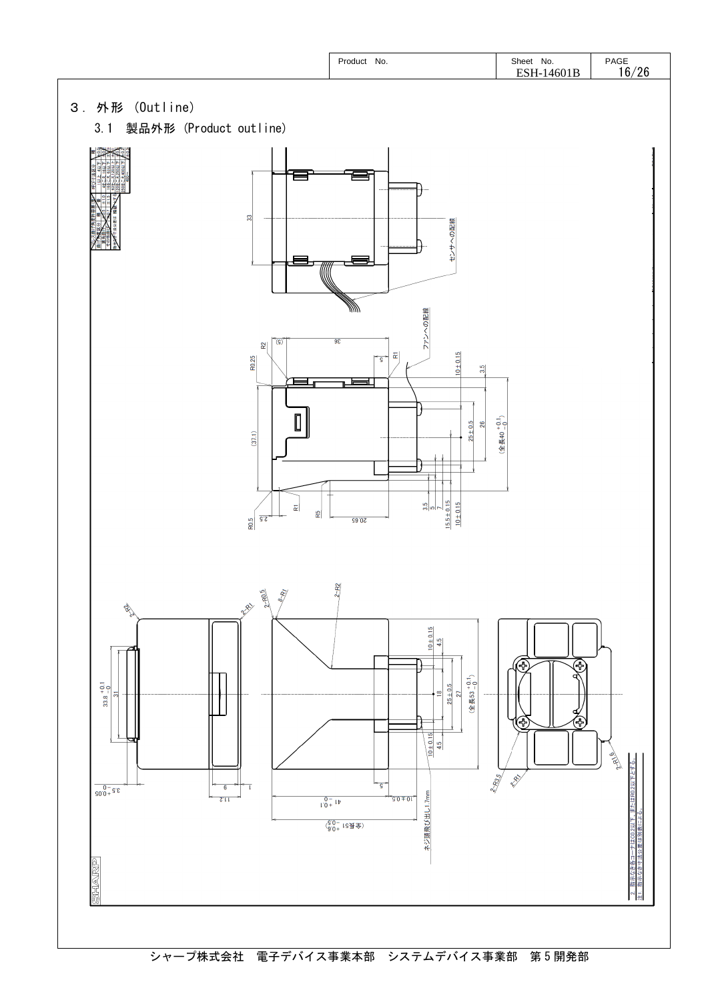

シャープ株式会社 電子デバイス事業本部 システムデバイス事業部 第5開発部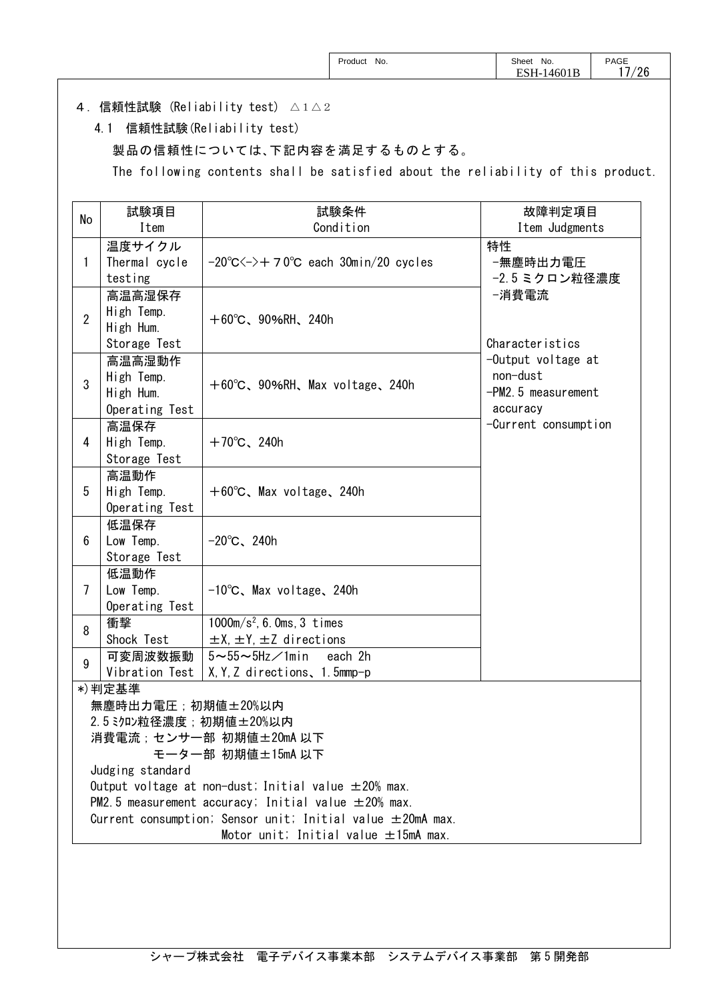|  | Product<br>No.<br>. | Sheet<br>No.<br>.<br>. .<br>nı<br>OUID<br>-- 10 | PAGE<br>. –<br>/26<br>_ |
|--|---------------------|-------------------------------------------------|-------------------------|
|--|---------------------|-------------------------------------------------|-------------------------|

### 4.信頼性試験 (Reliability test) △1△2

4.1 信頼性試験(Reliability test)

製品の信頼性については、下記内容を満足するものとする。

The following contents shall be satisfied about the reliability of this product.

| No             | 試験項目                                                                                                                   | 試験条件                                                              | 故障判定項目                           |  |  |  |
|----------------|------------------------------------------------------------------------------------------------------------------------|-------------------------------------------------------------------|----------------------------------|--|--|--|
|                | Item                                                                                                                   | Condition                                                         | Item Judgments                   |  |  |  |
|                | 温度サイクル                                                                                                                 |                                                                   | 特性                               |  |  |  |
| 1              | Thermal cycle                                                                                                          | $-20^{\circ}$ C $\leftarrow$ $+70^{\circ}$ C each 30min/20 cycles | -無塵時出力電圧                         |  |  |  |
|                | testing                                                                                                                |                                                                   | -2.5ミクロン粒径濃度                     |  |  |  |
|                | 高温高湿保存                                                                                                                 |                                                                   | −消費電流                            |  |  |  |
| $\overline{2}$ | High Temp.                                                                                                             | $+60^{\circ}$ C, 90%RH, 240h                                      |                                  |  |  |  |
|                | High Hum.                                                                                                              |                                                                   |                                  |  |  |  |
|                | Storage Test                                                                                                           |                                                                   | Characteristics                  |  |  |  |
|                | 高温高湿動作                                                                                                                 |                                                                   | -Output voltage at               |  |  |  |
| 3              | High Temp.                                                                                                             | $+60^{\circ}$ C, 90%RH, Max voltage, 240h                         | non-dust                         |  |  |  |
|                | High Hum.                                                                                                              |                                                                   | -PM2.5 measurement               |  |  |  |
|                | Operating Test                                                                                                         |                                                                   | accuracy<br>-Current consumption |  |  |  |
| 4              | 高温保存                                                                                                                   |                                                                   |                                  |  |  |  |
|                | High Temp.                                                                                                             | $+70^{\circ}$ C, 240h                                             |                                  |  |  |  |
|                | Storage Test<br>高温動作                                                                                                   |                                                                   |                                  |  |  |  |
| 5              | High Temp.                                                                                                             | $+60^{\circ}$ C, Max voltage, 240h                                |                                  |  |  |  |
|                | Operating Test                                                                                                         |                                                                   |                                  |  |  |  |
|                | 低温保存                                                                                                                   |                                                                   |                                  |  |  |  |
| 6              | Low Temp.                                                                                                              | $-20^{\circ}$ C, 240h                                             |                                  |  |  |  |
|                | Storage Test                                                                                                           |                                                                   |                                  |  |  |  |
|                | 低温動作                                                                                                                   |                                                                   |                                  |  |  |  |
| $\overline{7}$ | Low Temp.                                                                                                              | $-10^{\circ}$ C, Max voltage, 240h                                |                                  |  |  |  |
|                | Operating Test                                                                                                         |                                                                   |                                  |  |  |  |
| 8              | 衝撃                                                                                                                     | $1000m/s^2$ , 6. Oms, 3 times                                     |                                  |  |  |  |
|                | Shock Test                                                                                                             | $\pm$ X, $\pm$ Y, $\pm$ Z directions                              |                                  |  |  |  |
| 9              | 可変周波数振動                                                                                                                | $5 \sim 55 \sim 5$ Hz $\angle$ 1min<br>each 2h                    |                                  |  |  |  |
|                | Vibration Test                                                                                                         | X, Y, Z directions, 1.5mmp-p                                      |                                  |  |  |  |
|                | *)判定基準                                                                                                                 |                                                                   |                                  |  |  |  |
|                | 無塵時出力電圧;初期値±20%以内                                                                                                      |                                                                   |                                  |  |  |  |
|                | 2.5 ミクロン粒径濃度;初期値±20%以内                                                                                                 |                                                                   |                                  |  |  |  |
|                | 消費電流;センサー部 初期値±20mA 以下                                                                                                 |                                                                   |                                  |  |  |  |
|                | モーター部 初期値±15mA 以下                                                                                                      |                                                                   |                                  |  |  |  |
|                | Judging standard                                                                                                       |                                                                   |                                  |  |  |  |
|                | Output voltage at non-dust; Initial value $\pm 20\%$ max.<br>PM2.5 measurement accuracy; Initial value $\pm 20\%$ max. |                                                                   |                                  |  |  |  |
|                |                                                                                                                        | Current consumption; Sensor unit; Initial value $\pm 20$ mA max.  |                                  |  |  |  |
|                |                                                                                                                        | Motor unit; Initial value $\pm 15$ mA max.                        |                                  |  |  |  |
|                |                                                                                                                        |                                                                   |                                  |  |  |  |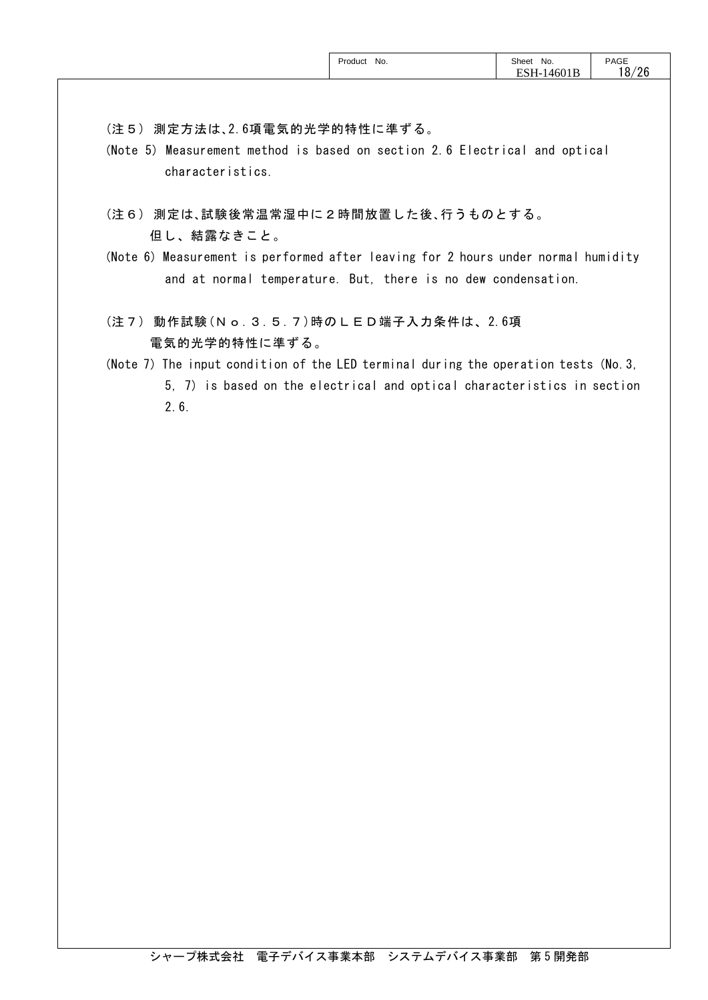|  | Product No. | Sheet<br>No.<br>$\sim$ $\sim$ $\sim$ | PAGE<br>18/26 |
|--|-------------|--------------------------------------|---------------|
|  |             |                                      |               |

(注5) 測定方法は、2.6項電気的光学的特性に準ずる。

- (Note 5) Measurement method is based on section 2.6 Electrical and optical characteristics.
- (注6) 測定は、試験後常温常湿中に2時間放置した後、行うものとする。 但し、結露なきこと。
- (Note 6) Measurement is performed after leaving for 2 hours under normal humidity and at normal temperature. But, there is no dew condensation.
- (注7) 動作試験(No.3.5.7)時のLED端子入力条件は、2.6項 電気的光学的特性に準ずる。
- (Note 7) The input condition of the LED terminal during the operation tests (No.3, 5, 7) is based on the electrical and optical characteristics in section 2.6.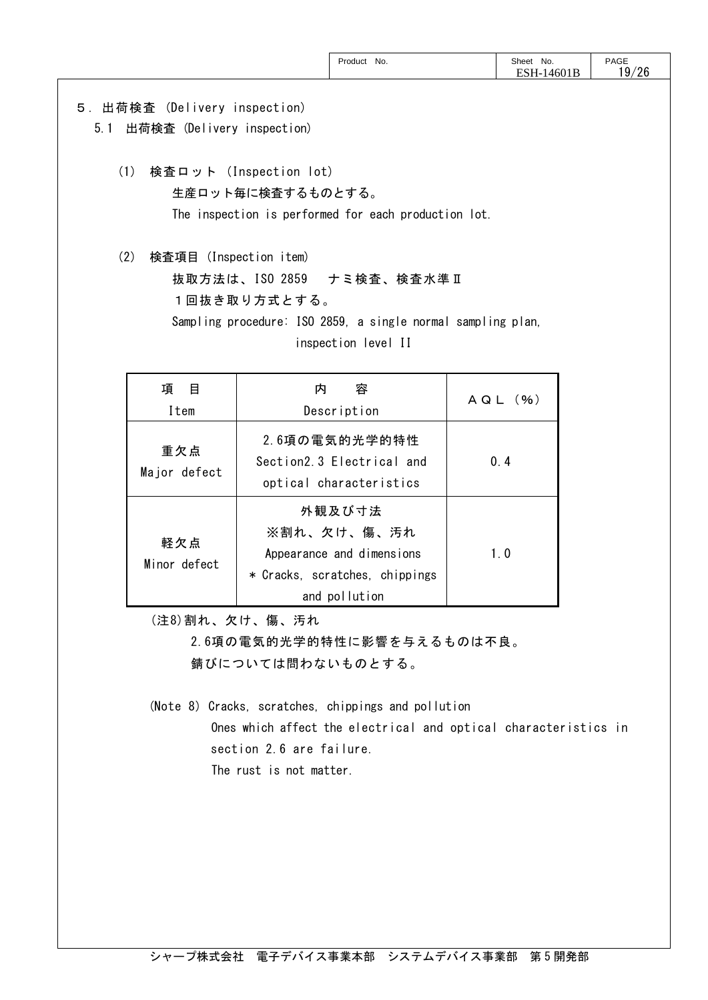|  | No.<br>Product<br>. | Sheet<br>No.<br>16 I<br>--<br>rvv<br>. | PAGE<br>/26<br>۱9<br>∠⊾ |
|--|---------------------|----------------------------------------|-------------------------|
|--|---------------------|----------------------------------------|-------------------------|

## 5.出荷検査 (Delivery inspection)

5.1 出荷検査 (Delivery inspection)

 (1) 検査ロット (Inspection lot) 生産ロット毎に検査するものとする。 The inspection is performed for each production lot.

 (2) 検査項目 (Inspection item) 抜取方法は、ISO 2859 ナミ検査、検査水準Ⅱ 1回抜き取り方式とする。 Sampling procedure: ISO 2859, a single normal sampling plan, inspection level II

| 項目<br>Item          | 容<br>内<br>Description                                                                                 | $A Q L ($ %) |
|---------------------|-------------------------------------------------------------------------------------------------------|--------------|
| 重欠点<br>Major defect | 2.6項の電気的光学的特性<br>Section2 3 Electrical and<br>optical characteristics                                 | 0.4          |
| 軽欠点<br>Minor defect | 外観及び寸法<br>※割れ、欠け、傷、汚れ<br>Appearance and dimensions<br>* Cracks, scratches, chippings<br>and pollution | 1.0          |

(注8)割れ、欠け、傷、汚れ

 2.6項の電気的光学的特性に影響を与えるものは不良。 錆びについては問わないものとする。

(Note 8) Cracks, scratches, chippings and pollution Ones which affect the electrical and optical characteristics in section 2.6 are failure. The rust is not matter.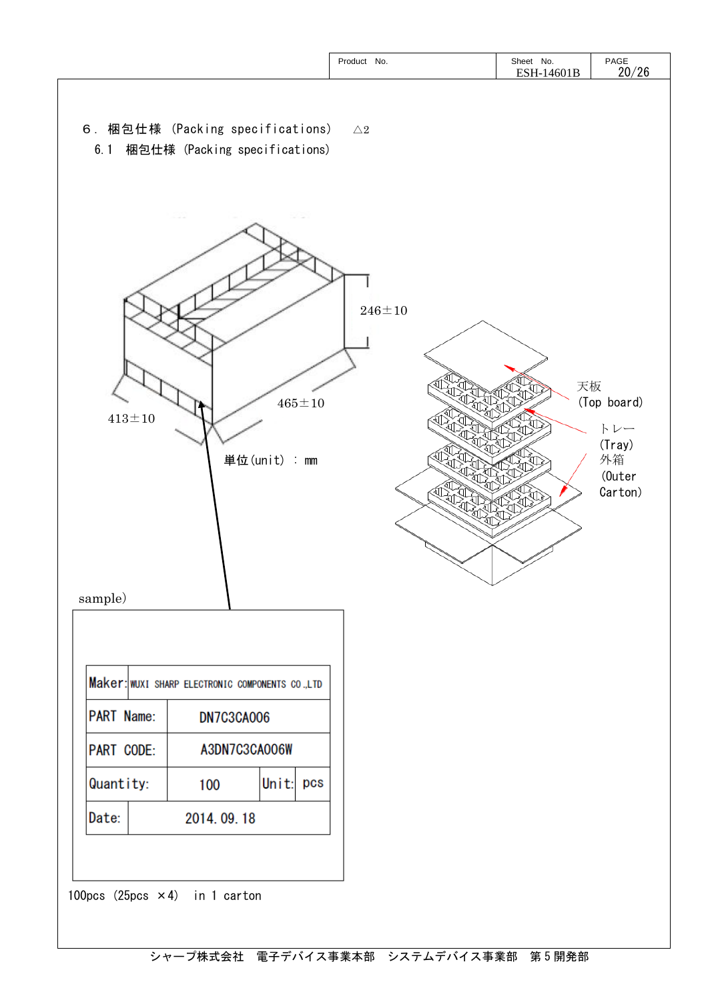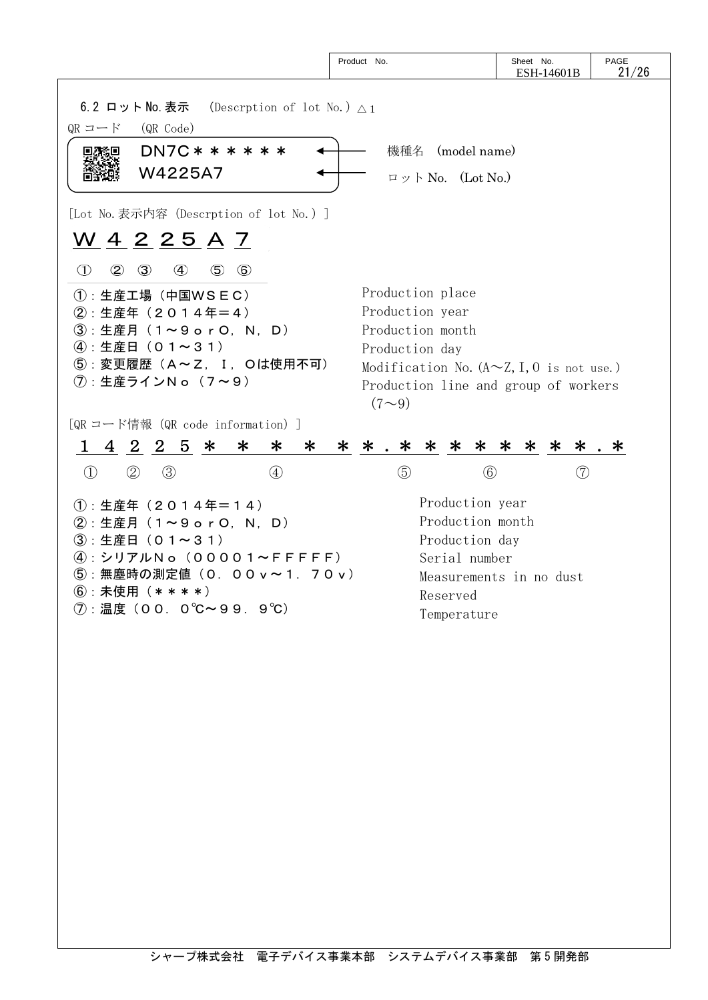|                                                                                                                                                                                                     | Product No.                                                                                                                                                                          | Sheet No.<br>ESH-14601B                  | PAGE<br>21/26 |
|-----------------------------------------------------------------------------------------------------------------------------------------------------------------------------------------------------|--------------------------------------------------------------------------------------------------------------------------------------------------------------------------------------|------------------------------------------|---------------|
| 6.2 ロット No. 表示 (Descrption of lot No.) $\triangle 1$<br>QR コード<br>(QR Code)<br>$DN7C$ * * * * * *<br>W4225A7                                                                                        | 機種名 (model name)<br>$\Box \vee \Box$ No. (Lot No.)                                                                                                                                   |                                          |               |
| [Lot No.表示内容 (Descrption of lot No.)]<br><u>W 4 2 2 5 A 7</u><br>$\circled{1}$<br>$^{\circledR}$<br>$\circled{3}$<br>④<br>$\circledS$<br>$\circled{6}$                                              |                                                                                                                                                                                      |                                          |               |
| 1: 生産工場 (中国WSEC)<br>②: 生産年 (2014年=4)<br>3 : 生産月 (1~9 o r O, N, D)<br>4: 生産日 (01~31)<br>5: 変更履歴 (A~Z, I, Oは使用不可)<br>(7): 生産ラインNo (7~9)                                                               | Production place<br>Production year<br>Production month<br>Production day<br>Modification No. ( $A \sim Z$ , I, 0 is not use.)<br>Production line and group of workers<br>$(7\sim9)$ |                                          |               |
| [QR コード情報 (QR code information) ]<br>$1 \t4 \t2 \t2 \t5$ *<br>∗<br>$\ast$<br>$\ast$<br>$\textcircled{\scriptsize{1}}$<br>$\circled{3}$<br>(2)<br>$\circled{4}$                                      | * * . * * * * *<br>$\circledS$<br>$\circled{6}$                                                                                                                                      | * * * . *<br>$\left( \mathcal{D}\right)$ |               |
| $(1)$ : 生産年 (2014年=14)<br>②: 生産月 (1~9 o r O, N, D)<br>3:生産日 (01~31)<br>$\left( 4\right)$ : シリアルNo(00001~FFFF)<br>5: 無塵時の測定値 (0. 00 v ~ 1. 70 v)<br>$(6)$ : 未使用 $(**$ * * * $)$<br>⑦:温度(00.0℃~99.9℃) | Production year<br>Production month<br>Production day<br>Serial number<br>Reserved<br>Temperature                                                                                    | Measurements in no dust                  |               |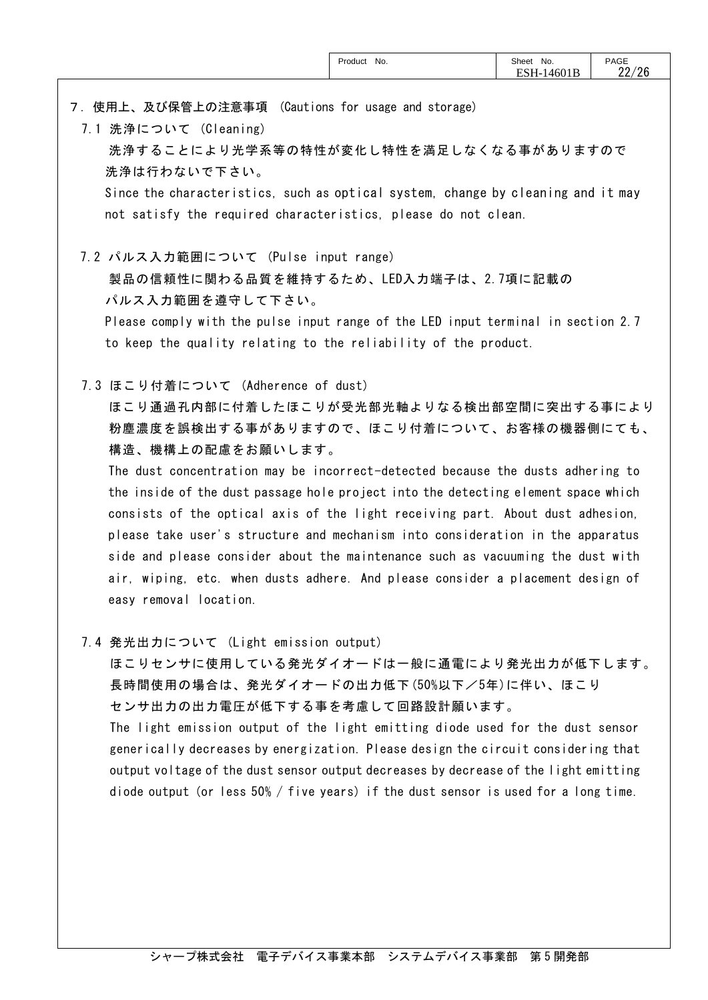7.使用上、及び保管上の注意事項 (Cautions for usage and storage)

7.1 洗浄について (Cleaning) 洗浄することにより光学系等の特性が変化し特性を満足しなくなる事がありますので 洗浄は行わないで下さい。

Since the characteristics, such as optical system, change by cleaning and it may not satisfy the required characteristics, please do not clean.

7.2 パルス入力範囲について (Pulse input range)

 製品の信頼性に関わる品質を維持するため、LED入力端子は、2.7項に記載の パルス入力範囲を遵守して下さい。

Please comply with the pulse input range of the LED input terminal in section 2.7 to keep the quality relating to the reliability of the product.

7.3 ほこり付着について (Adherence of dust)

 ほこり通過孔内部に付着したほこりが受光部光軸よりなる検出部空間に突出する事により 粉塵濃度を誤検出する事がありますので、ほこり付着について、お客様の機器側にても、 構造、機構上の配慮をお願いします。

The dust concentration may be incorrect-detected because the dusts adhering to the inside of the dust passage hole project into the detecting element space which consists of the optical axis of the light receiving part. About dust adhesion, please take user's structure and mechanism into consideration in the apparatus side and please consider about the maintenance such as vacuuming the dust with air, wiping, etc. when dusts adhere. And please consider a placement design of easy removal location.

7.4 発光出力について (Light emission output)

ほこりセンサに使用している発光ダイオードは一般に通電により発光出力が低下します。 長時間使用の場合は、発光ダイオードの出力低下(50%以下/5年)に伴い、ほこり センサ出力の出力電圧が低下する事を考慮して回路設計願います。

The light emission output of the light emitting diode used for the dust sensor generically decreases by energization. Please design the circuit considering that output voltage of the dust sensor output decreases by decrease of the light emitting diode output (or less  $50\%$  / five years) if the dust sensor is used for a long time.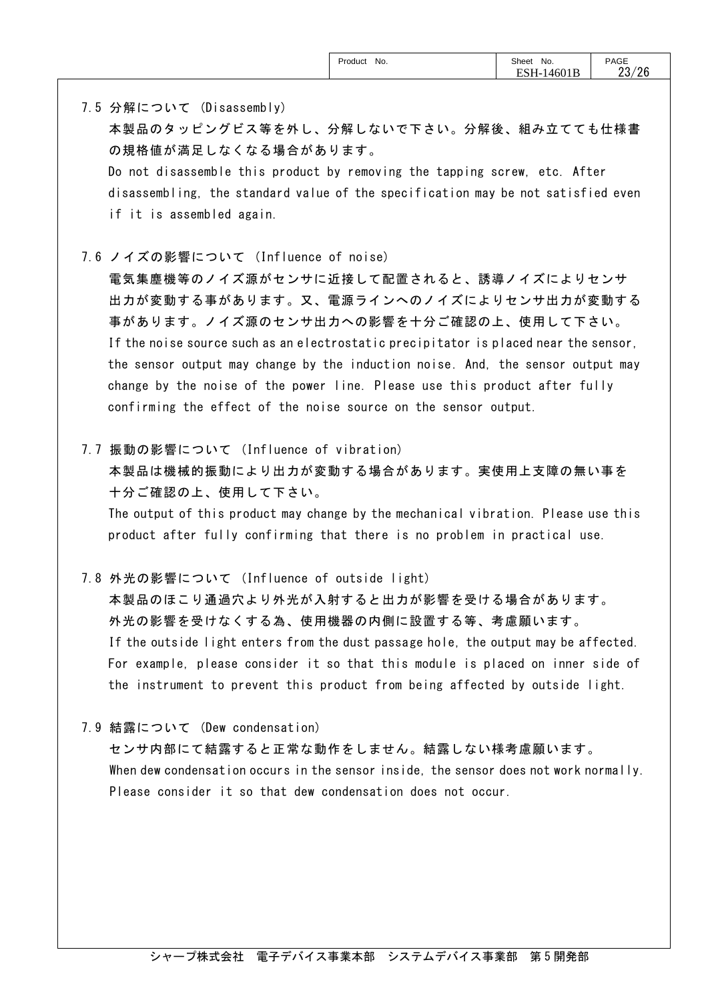7.5 分解について (Disassembly)

 本製品のタッピングビス等を外し、分解しないで下さい。分解後、組み立てても仕様書 の規格値が満足しなくなる場合があります。

Do not disassemble this product by removing the tapping screw, etc. After disassembling, the standard value of the specification may be not satisfied even if it is assembled again.

7.6 ノイズの影響について (Influence of noise)

電気集塵機等のノイズ源がセンサに近接して配置されると、誘導ノイズによりセンサ 出力が変動する事があります。又、電源ラインへのノイズによりセンサ出力が変動する 事があります。ノイズ源のセンサ出力への影響を十分ご確認の上、使用して下さい。 If the noise source such as an electrostatic precipitator is placed near the sensor, the sensor output may change by the induction noise. And, the sensor output may change by the noise of the power line. Please use this product after fully confirming the effect of the noise source on the sensor output.

7.7 振動の影響について (Influence of vibration)

本製品は機械的振動により出力が変動する場合があります。実使用上支障の無い事を 十分ご確認の上、使用して下さい。

The output of this product may change by the mechanical vibration. Please use this product after fully confirming that there is no problem in practical use.

7.8 外光の影響について (Influence of outside light)

 本製品のほこり通過穴より外光が入射すると出力が影響を受ける場合があります。 外光の影響を受けなくする為、使用機器の内側に設置する等、考慮願います。 If the outside light enters from the dust passage hole, the output may be affected. For example, please consider it so that this module is placed on inner side of the instrument to prevent this product from being affected by outside light.

7.9 結露について (Dew condensation)

センサ内部にて結露すると正常な動作をしません。結露しない様考慮願います。 When dew condensation occurs in the sensor inside, the sensor does not work normally. Please consider it so that dew condensation does not occur.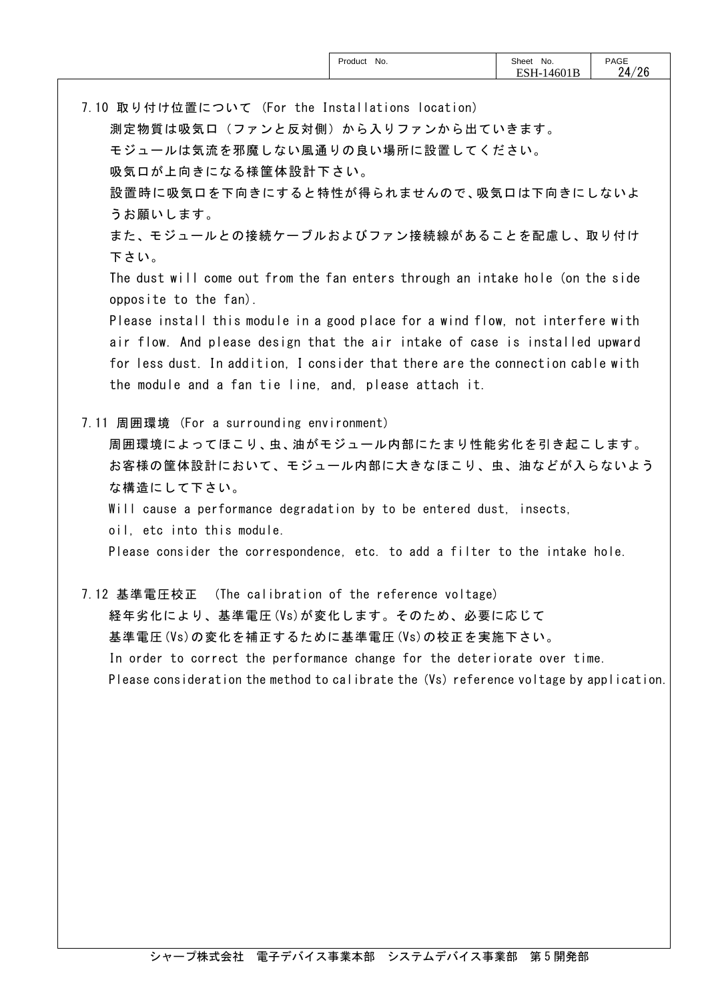| PAGE<br>$24$<br>/26<br>rvv 1 D |
|--------------------------------|
|--------------------------------|

7.10 取り付け位置について (For the Installations location) 測定物質は吸気口(ファンと反対側)から入りファンから出ていきます。 モジュールは気流を邪魔しない風通りの良い場所に設置してください。 吸気口が上向きになる様筐体設計下さい。 設置時に吸気口を下向きにすると特性が得られませんので、吸気口は下向きにしないよ うお願いします。 また、モジュールとの接続ケーブルおよびファン接続線があることを配慮し、取り付け 下さい。 The dust will come out from the fan enters through an intake hole (on the side opposite to the fan). Please install this module in a good place for a wind flow, not interfere with air flow. And please design that the air intake of case is installed upward for less dust. In addition, I consider that there are the connection cable with the module and a fan tie line, and, please attach it. 7.11 周囲環境 (For a surrounding environment) 周囲環境によってほこり、虫、油がモジュール内部にたまり性能劣化を引き起こします。 お客様の筐体設計において、モジュール内部に大きなほこり、虫、油などが入らないよう な構造にして下さい。 Will cause a performance degradation by to be entered dust, insects, oil, etc into this module. Please consider the correspondence, etc. to add a filter to the intake hole. 7.12 基準電圧校正 (The calibration of the reference voltage) 経年劣化により、基準電圧(Vs)が変化します。そのため、必要に応じて 基準電圧(Vs)の変化を補正するために基準電圧(Vs)の校正を実施下さい。 In order to correct the performance change for the deteriorate over time.

Please consideration the method to calibrate the (Vs) reference voltage by application.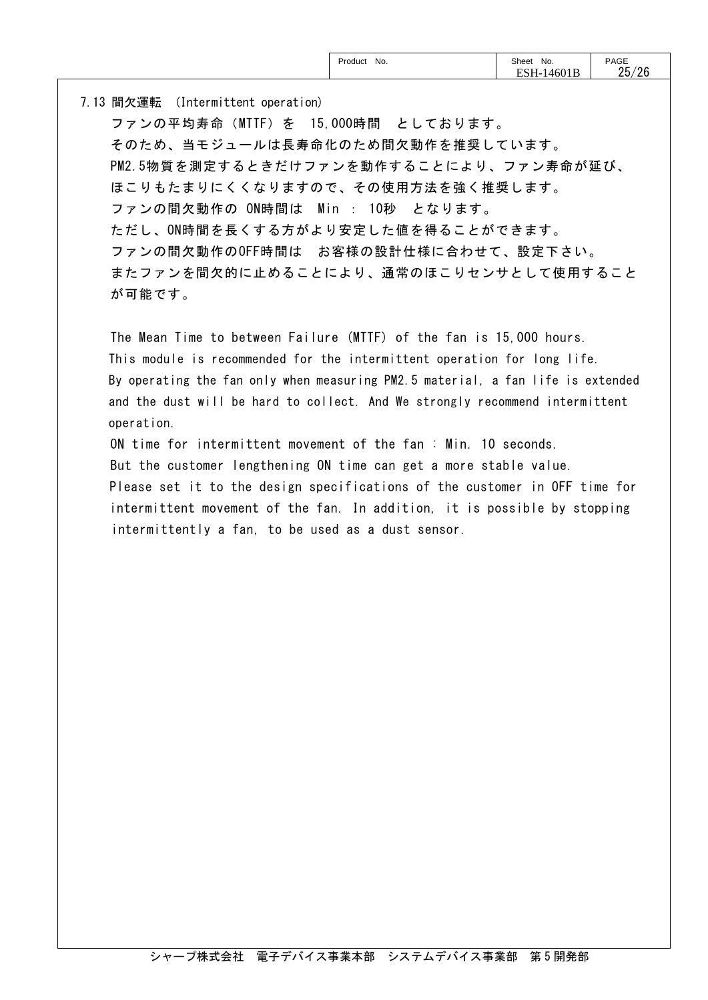7.13 間欠運転 (Intermittent operation) ファンの平均寿命(MTTF)を 15,000時間 としております。 そのため、当モジュールは長寿命化のため間欠動作を推奨しています。 PM2.5物質を測定するときだけファンを動作することにより、ファン寿命が延び、 ほこりもたまりにくくなりますので、その使用方法を強く推奨します。 ファンの間欠動作の ON時間は Min : 10秒 となります。 ただし、ON時間を長くする方がより安定した値を得ることができます。 ファンの間欠動作のOFF時間は お客様の設計仕様に合わせて、設定下さい。 またファンを間欠的に止めることにより、通常のほこりセンサとして使用すること が可能です。

The Mean Time to between Failure (MTTF) of the fan is 15,000 hours. This module is recommended for the intermittent operation for long life. By operating the fan only when measuring PM2.5 material, a fan life is extended and the dust will be hard to collect. And We strongly recommend intermittent operation.

ON time for intermittent movement of the fan : Min. 10 seconds. But the customer lengthening ON time can get a more stable value. Please set it to the design specifications of the customer in OFF time for intermittent movement of the fan. In addition, it is possible by stopping intermittently a fan, to be used as a dust sensor.